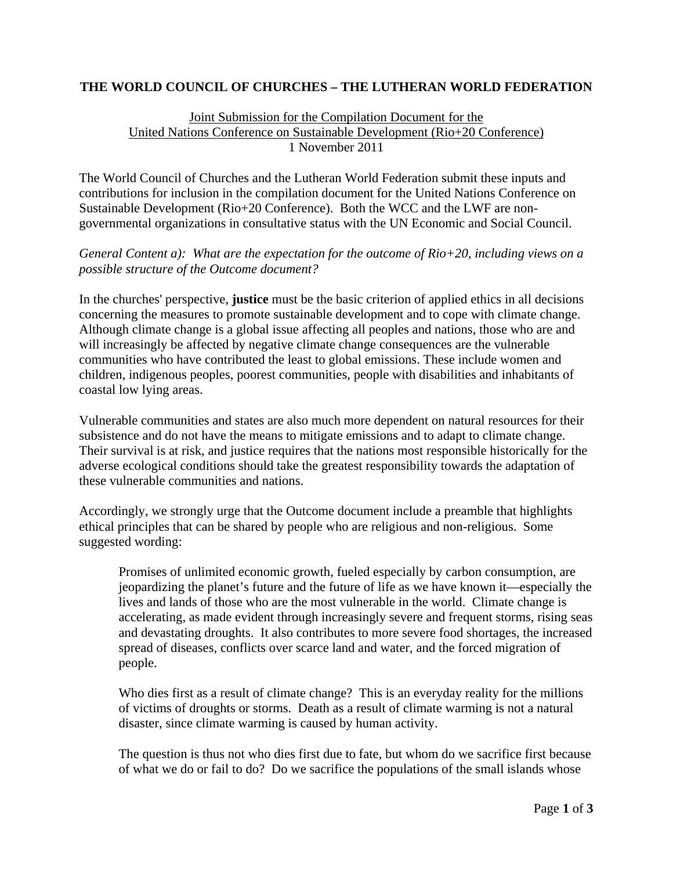## **THE WORLD COUNCIL OF CHURCHES – THE LUTHERAN WORLD FEDERATION**

## Joint Submission for the Compilation Document for the United Nations Conference on Sustainable Development (Rio+20 Conference) 1 November 2011

The World Council of Churches and the Lutheran World Federation submit these inputs and contributions for inclusion in the compilation document for the United Nations Conference on Sustainable Development (Rio+20 Conference). Both the WCC and the LWF are nongovernmental organizations in consultative status with the UN Economic and Social Council.

*General Content a): What are the expectation for the outcome of Rio+20, including views on a possible structure of the Outcome document?* 

In the churches' perspective, **justice** must be the basic criterion of applied ethics in all decisions concerning the measures to promote sustainable development and to cope with climate change. Although climate change is a global issue affecting all peoples and nations, those who are and will increasingly be affected by negative climate change consequences are the vulnerable communities who have contributed the least to global emissions. These include women and children, indigenous peoples, poorest communities, people with disabilities and inhabitants of coastal low lying areas.

Vulnerable communities and states are also much more dependent on natural resources for their subsistence and do not have the means to mitigate emissions and to adapt to climate change. Their survival is at risk, and justice requires that the nations most responsible historically for the adverse ecological conditions should take the greatest responsibility towards the adaptation of these vulnerable communities and nations.

Accordingly, we strongly urge that the Outcome document include a preamble that highlights ethical principles that can be shared by people who are religious and non-religious. Some suggested wording:

Promises of unlimited economic growth, fueled especially by carbon consumption, are jeopardizing the planet's future and the future of life as we have known it—especially the lives and lands of those who are the most vulnerable in the world. Climate change is accelerating, as made evident through increasingly severe and frequent storms, rising seas and devastating droughts. It also contributes to more severe food shortages, the increased spread of diseases, conflicts over scarce land and water, and the forced migration of people.

Who dies first as a result of climate change? This is an everyday reality for the millions of victims of droughts or storms. Death as a result of climate warming is not a natural disaster, since climate warming is caused by human activity.

The question is thus not who dies first due to fate, but whom do we sacrifice first because of what we do or fail to do? Do we sacrifice the populations of the small islands whose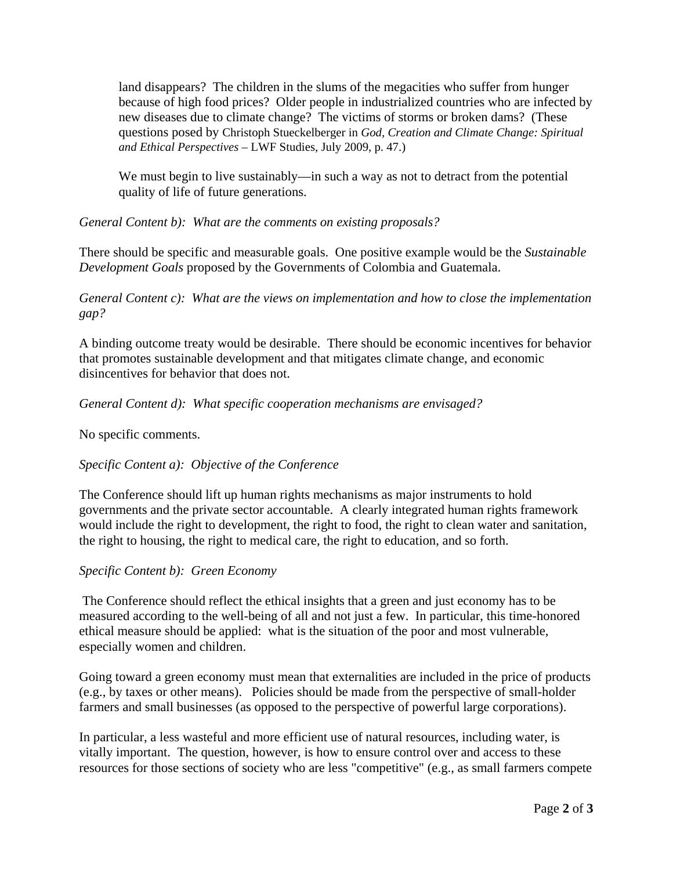land disappears? The children in the slums of the megacities who suffer from hunger because of high food prices? Older people in industrialized countries who are infected by new diseases due to climate change? The victims of storms or broken dams? (These questions posed by Christoph Stueckelberger in *God, Creation and Climate Change: Spiritual and Ethical Perspectives* – LWF Studies, July 2009, p. 47.)

We must begin to live sustainably—in such a way as not to detract from the potential quality of life of future generations.

*General Content b): What are the comments on existing proposals?* 

There should be specific and measurable goals. One positive example would be the *Sustainable Development Goals* proposed by the Governments of Colombia and Guatemala.

*General Content c): What are the views on implementation and how to close the implementation gap?* 

A binding outcome treaty would be desirable. There should be economic incentives for behavior that promotes sustainable development and that mitigates climate change, and economic disincentives for behavior that does not.

*General Content d): What specific cooperation mechanisms are envisaged?* 

No specific comments.

## *Specific Content a): Objective of the Conference*

The Conference should lift up human rights mechanisms as major instruments to hold governments and the private sector accountable. A clearly integrated human rights framework would include the right to development, the right to food, the right to clean water and sanitation, the right to housing, the right to medical care, the right to education, and so forth.

## *Specific Content b): Green Economy*

 The Conference should reflect the ethical insights that a green and just economy has to be measured according to the well-being of all and not just a few. In particular, this time-honored ethical measure should be applied: what is the situation of the poor and most vulnerable, especially women and children.

Going toward a green economy must mean that externalities are included in the price of products (e.g., by taxes or other means). Policies should be made from the perspective of small-holder farmers and small businesses (as opposed to the perspective of powerful large corporations).

In particular, a less wasteful and more efficient use of natural resources, including water, is vitally important. The question, however, is how to ensure control over and access to these resources for those sections of society who are less "competitive" (e.g., as small farmers compete